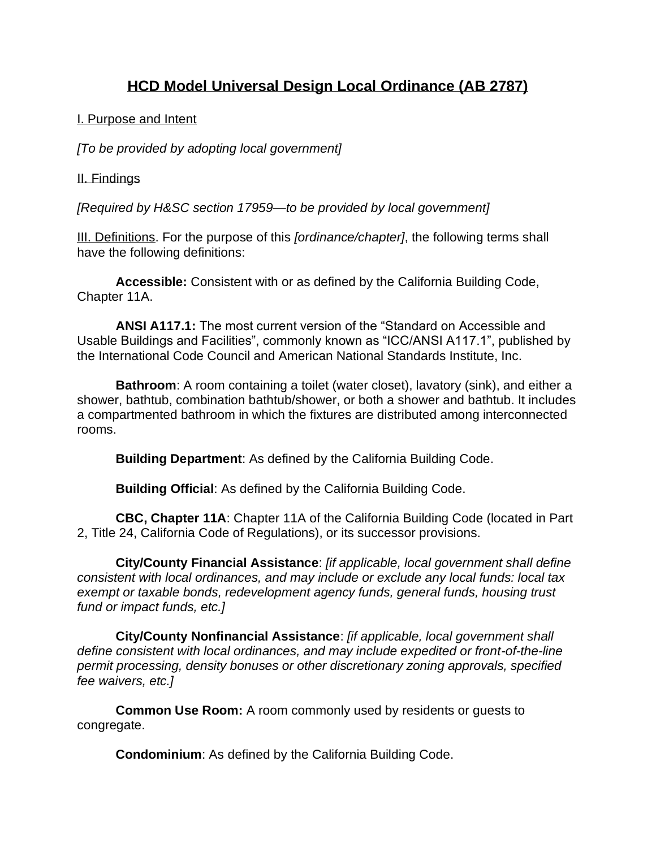# **HCD Model Universal Design Local Ordinance (AB 2787)**

## I. Purpose and Intent

*[To be provided by adopting local government]*

## II. Findings

*[Required by H&SC section 17959—to be provided by local government]*

III. Definitions. For the purpose of this *[ordinance/chapter]*, the following terms shall have the following definitions:

**Accessible:** Consistent with or as defined by the California Building Code, Chapter 11A.

**ANSI A117.1:** The most current version of the "Standard on Accessible and Usable Buildings and Facilities", commonly known as "ICC/ANSI A117.1", published by the International Code Council and American National Standards Institute, Inc.

**Bathroom**: A room containing a toilet (water closet), lavatory (sink), and either a shower, bathtub, combination bathtub/shower, or both a shower and bathtub. It includes a compartmented bathroom in which the fixtures are distributed among interconnected rooms.

**Building Department**: As defined by the California Building Code.

**Building Official**: As defined by the California Building Code.

**CBC, Chapter 11A**: Chapter 11A of the California Building Code (located in Part 2, Title 24, California Code of Regulations), or its successor provisions.

**City/County Financial Assistance**: *[if applicable, local government shall define consistent with local ordinances, and may include or exclude any local funds: local tax exempt or taxable bonds, redevelopment agency funds, general funds, housing trust fund or impact funds, etc.]*

**City/County Nonfinancial Assistance**: *[if applicable, local government shall define consistent with local ordinances, and may include expedited or front-of-the-line permit processing, density bonuses or other discretionary zoning approvals, specified fee waivers, etc.]*

**Common Use Room:** A room commonly used by residents or guests to congregate.

**Condominium**: As defined by the California Building Code.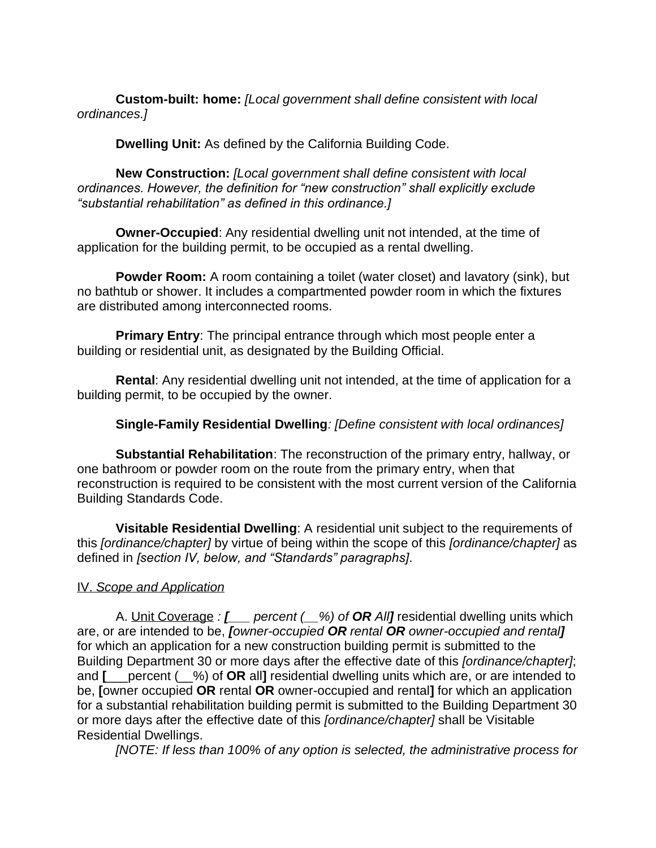**Custom-built: home:** *[Local government shall define consistent with local ordinances.]*

**Dwelling Unit:** As defined by the California Building Code.

**New Construction:** *[Local government shall define consistent with local ordinances. However, the definition for "new construction" shall explicitly exclude "substantial rehabilitation" as defined in this ordinance.]*

**Owner-Occupied**: Any residential dwelling unit not intended, at the time of application for the building permit, to be occupied as a rental dwelling.

**Powder Room:** A room containing a toilet (water closet) and lavatory (sink), but no bathtub or shower. It includes a compartmented powder room in which the fixtures are distributed among interconnected rooms.

**Primary Entry**: The principal entrance through which most people enter a building or residential unit, as designated by the Building Official.

**Rental**: Any residential dwelling unit not intended, at the time of application for a building permit, to be occupied by the owner.

# **Single-Family Residential Dwelling***: [Define consistent with local ordinances]*

**Substantial Rehabilitation**: The reconstruction of the primary entry, hallway, or one bathroom or powder room on the route from the primary entry, when that reconstruction is required to be consistent with the most current version of the California Building Standards Code.

**Visitable Residential Dwelling**: A residential unit subject to the requirements of this *[ordinance/chapter]* by virtue of being within the scope of this *[ordinance/chapter]* as defined in *[section IV, below, and "Standards" paragraphs]*.

## IV. *Scope and Application*

A. Unit Coverage *: [\_\_\_ percent (\_\_%) of OR All]* residential dwelling units which are, or are intended to be, *[owner-occupied OR rental OR owner-occupied and rental]*  for which an application for a new construction building permit is submitted to the Building Department 30 or more days after the effective date of this *[ordinance/chapter]*; and **[**\_\_\_percent (\_\_%) of **OR** all**]** residential dwelling units which are, or are intended to be, **[**owner occupied **OR** rental **OR** owner-occupied and rental**]** for which an application for a substantial rehabilitation building permit is submitted to the Building Department 30 or more days after the effective date of this *[ordinance/chapter]* shall be Visitable Residential Dwellings.

*[NOTE: If less than 100% of any option is selected, the administrative process for*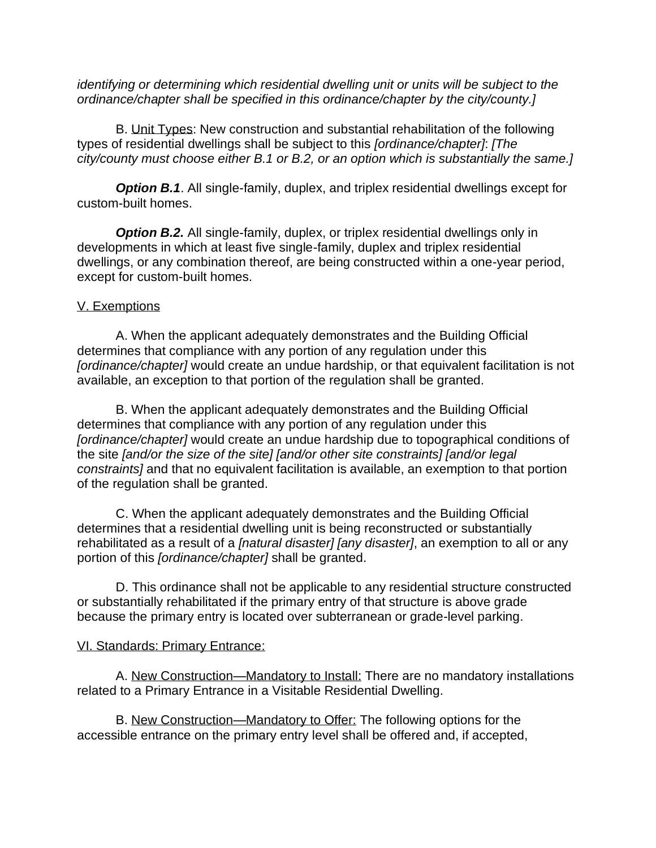*identifying or determining which residential dwelling unit or units will be subject to the ordinance/chapter shall be specified in this ordinance/chapter by the city/county.]* 

B. Unit Types: New construction and substantial rehabilitation of the following types of residential dwellings shall be subject to this *[ordinance/chapter]*: *[The city/county must choose either B.1 or B.2, or an option which is substantially the same.]* 

**Option B.1.** All single-family, duplex, and triplex residential dwellings except for custom-built homes.

**Option B.2.** All single-family, duplex, or triplex residential dwellings only in developments in which at least five single-family, duplex and triplex residential dwellings, or any combination thereof, are being constructed within a one-year period, except for custom-built homes.

## V. Exemptions

A. When the applicant adequately demonstrates and the Building Official determines that compliance with any portion of any regulation under this *[ordinance/chapter]* would create an undue hardship, or that equivalent facilitation is not available, an exception to that portion of the regulation shall be granted.

B. When the applicant adequately demonstrates and the Building Official determines that compliance with any portion of any regulation under this *[ordinance/chapter]* would create an undue hardship due to topographical conditions of the site *[and/or the size of the site] [and/or other site constraints] [and/or legal constraints]* and that no equivalent facilitation is available, an exemption to that portion of the regulation shall be granted.

C. When the applicant adequately demonstrates and the Building Official determines that a residential dwelling unit is being reconstructed or substantially rehabilitated as a result of a *[natural disaster] [any disaster]*, an exemption to all or any portion of this *[ordinance/chapter]* shall be granted.

D. This ordinance shall not be applicable to any residential structure constructed or substantially rehabilitated if the primary entry of that structure is above grade because the primary entry is located over subterranean or grade-level parking.

#### VI. Standards: Primary Entrance:

A. New Construction—Mandatory to Install: There are no mandatory installations related to a Primary Entrance in a Visitable Residential Dwelling.

B. New Construction—Mandatory to Offer: The following options for the accessible entrance on the primary entry level shall be offered and, if accepted,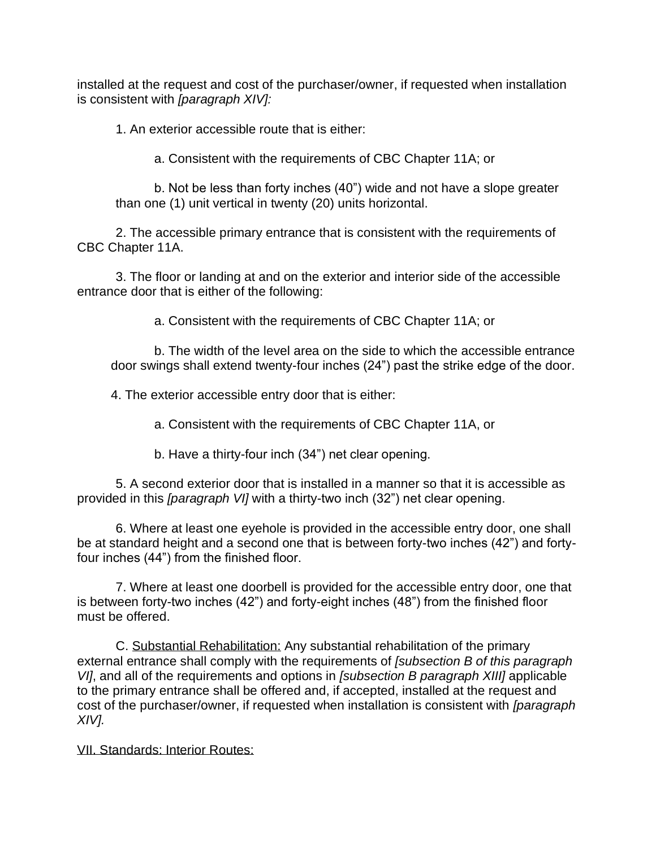installed at the request and cost of the purchaser/owner, if requested when installation is consistent with *[paragraph XIV]:*

1. An exterior accessible route that is either:

a. Consistent with the requirements of CBC Chapter 11A; or

b. Not be less than forty inches (40") wide and not have a slope greater than one (1) unit vertical in twenty (20) units horizontal.

2. The accessible primary entrance that is consistent with the requirements of CBC Chapter 11A.

3. The floor or landing at and on the exterior and interior side of the accessible entrance door that is either of the following:

a. Consistent with the requirements of CBC Chapter 11A; or

b. The width of the level area on the side to which the accessible entrance door swings shall extend twenty-four inches (24") past the strike edge of the door.

4. The exterior accessible entry door that is either:

a. Consistent with the requirements of CBC Chapter 11A, or

b. Have a thirty-four inch (34") net clear opening.

5. A second exterior door that is installed in a manner so that it is accessible as provided in this *[paragraph VI]* with a thirty-two inch (32") net clear opening.

6. Where at least one eyehole is provided in the accessible entry door, one shall be at standard height and a second one that is between forty-two inches (42") and fortyfour inches (44") from the finished floor.

7. Where at least one doorbell is provided for the accessible entry door, one that is between forty-two inches (42") and forty-eight inches (48") from the finished floor must be offered.

C. Substantial Rehabilitation: Any substantial rehabilitation of the primary external entrance shall comply with the requirements of *[subsection B of this paragraph VI]*, and all of the requirements and options in *[subsection B paragraph XIII]* applicable to the primary entrance shall be offered and, if accepted, installed at the request and cost of the purchaser/owner, if requested when installation is consistent with *[paragraph XIV].*

VII. Standards: Interior Routes: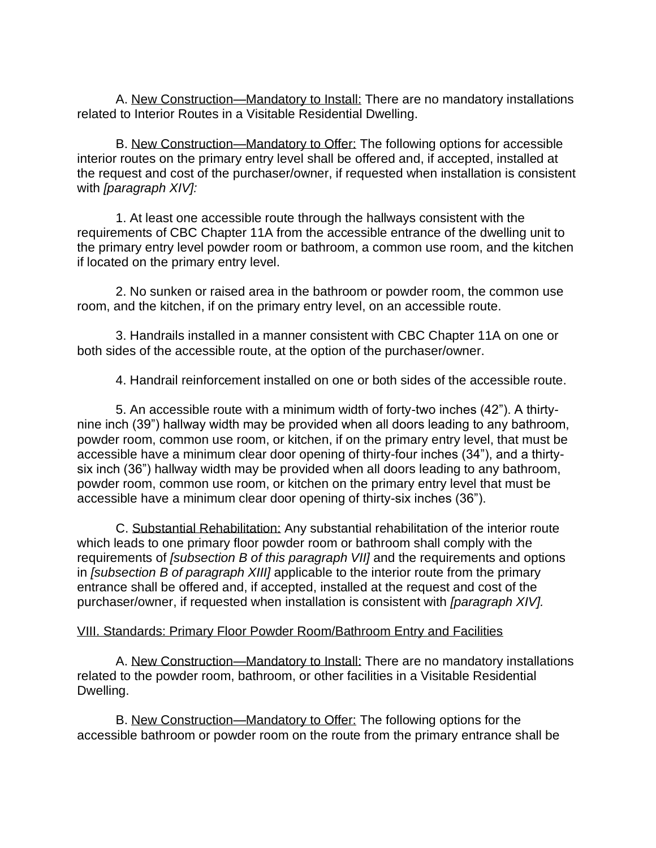A. New Construction—Mandatory to Install: There are no mandatory installations related to Interior Routes in a Visitable Residential Dwelling.

B. New Construction—Mandatory to Offer: The following options for accessible interior routes on the primary entry level shall be offered and, if accepted, installed at the request and cost of the purchaser/owner, if requested when installation is consistent with *[paragraph XIV]:*

1. At least one accessible route through the hallways consistent with the requirements of CBC Chapter 11A from the accessible entrance of the dwelling unit to the primary entry level powder room or bathroom, a common use room, and the kitchen if located on the primary entry level.

2. No sunken or raised area in the bathroom or powder room, the common use room, and the kitchen, if on the primary entry level, on an accessible route.

3. Handrails installed in a manner consistent with CBC Chapter 11A on one or both sides of the accessible route, at the option of the purchaser/owner.

4. Handrail reinforcement installed on one or both sides of the accessible route.

5. An accessible route with a minimum width of forty-two inches (42"). A thirtynine inch (39") hallway width may be provided when all doors leading to any bathroom, powder room, common use room, or kitchen, if on the primary entry level, that must be accessible have a minimum clear door opening of thirty-four inches (34"), and a thirtysix inch (36") hallway width may be provided when all doors leading to any bathroom, powder room, common use room, or kitchen on the primary entry level that must be accessible have a minimum clear door opening of thirty-six inches (36").

C. Substantial Rehabilitation: Any substantial rehabilitation of the interior route which leads to one primary floor powder room or bathroom shall comply with the requirements of *[subsection B of this paragraph VII]* and the requirements and options in *[subsection B of paragraph XIII]* applicable to the interior route from the primary entrance shall be offered and, if accepted, installed at the request and cost of the purchaser/owner, if requested when installation is consistent with *[paragraph XIV].*

## VIII. Standards: Primary Floor Powder Room/Bathroom Entry and Facilities

A. New Construction—Mandatory to Install: There are no mandatory installations related to the powder room, bathroom, or other facilities in a Visitable Residential Dwelling.

B. New Construction—Mandatory to Offer: The following options for the accessible bathroom or powder room on the route from the primary entrance shall be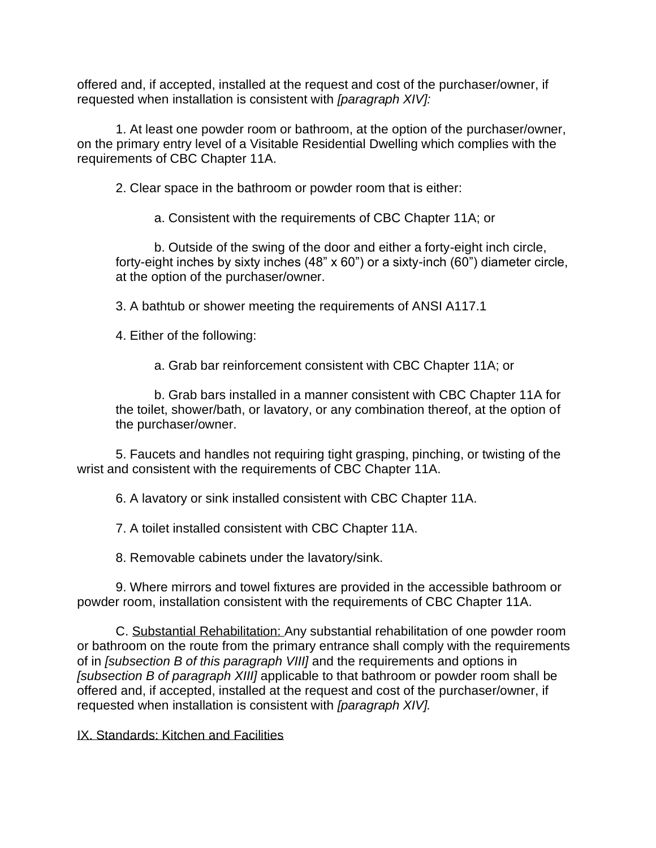offered and, if accepted, installed at the request and cost of the purchaser/owner, if requested when installation is consistent with *[paragraph XIV]:*

1. At least one powder room or bathroom, at the option of the purchaser/owner, on the primary entry level of a Visitable Residential Dwelling which complies with the requirements of CBC Chapter 11A.

2. Clear space in the bathroom or powder room that is either:

a. Consistent with the requirements of CBC Chapter 11A; or

b. Outside of the swing of the door and either a forty-eight inch circle, forty-eight inches by sixty inches (48" x 60") or a sixty-inch (60") diameter circle, at the option of the purchaser/owner.

3. A bathtub or shower meeting the requirements of ANSI A117.1

4. Either of the following:

a. Grab bar reinforcement consistent with CBC Chapter 11A; or

b. Grab bars installed in a manner consistent with CBC Chapter 11A for the toilet, shower/bath, or lavatory, or any combination thereof, at the option of the purchaser/owner.

5. Faucets and handles not requiring tight grasping, pinching, or twisting of the wrist and consistent with the requirements of CBC Chapter 11A.

6. A lavatory or sink installed consistent with CBC Chapter 11A.

7. A toilet installed consistent with CBC Chapter 11A.

8. Removable cabinets under the lavatory/sink.

9. Where mirrors and towel fixtures are provided in the accessible bathroom or powder room, installation consistent with the requirements of CBC Chapter 11A.

C. Substantial Rehabilitation: Any substantial rehabilitation of one powder room or bathroom on the route from the primary entrance shall comply with the requirements of in *[subsection B of this paragraph VIII]* and the requirements and options in *[subsection B of paragraph XIII]* applicable to that bathroom or powder room shall be offered and, if accepted, installed at the request and cost of the purchaser/owner, if requested when installation is consistent with *[paragraph XIV].*

IX. Standards: Kitchen and Facilities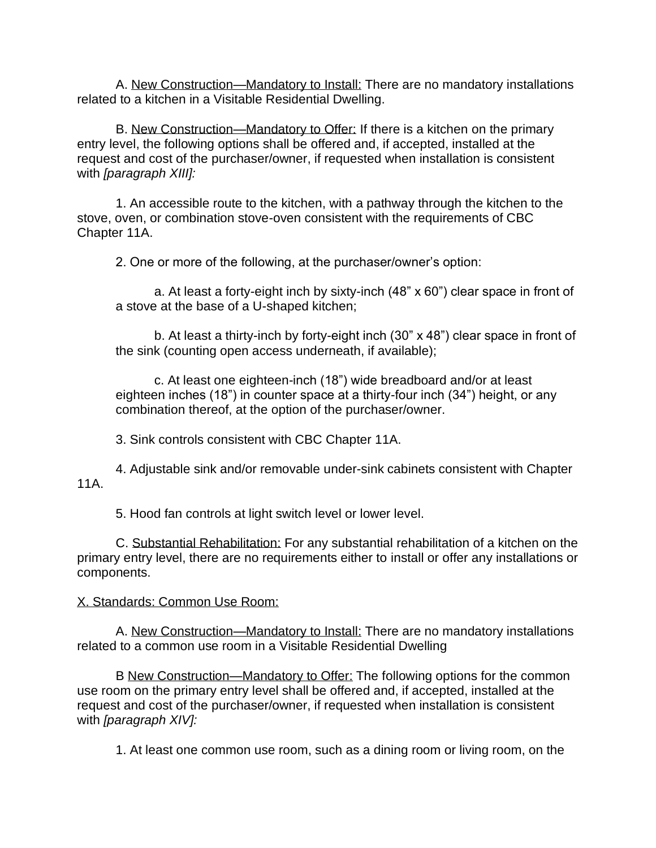A. New Construction—Mandatory to Install: There are no mandatory installations related to a kitchen in a Visitable Residential Dwelling.

B. New Construction—Mandatory to Offer: If there is a kitchen on the primary entry level, the following options shall be offered and, if accepted, installed at the request and cost of the purchaser/owner, if requested when installation is consistent with *[paragraph XIII]:*

1. An accessible route to the kitchen, with a pathway through the kitchen to the stove, oven, or combination stove-oven consistent with the requirements of CBC Chapter 11A.

2. One or more of the following, at the purchaser/owner's option:

a. At least a forty-eight inch by sixty-inch (48" x 60") clear space in front of a stove at the base of a U-shaped kitchen;

b. At least a thirty-inch by forty-eight inch (30" x 48") clear space in front of the sink (counting open access underneath, if available);

c. At least one eighteen-inch (18") wide breadboard and/or at least eighteen inches (18") in counter space at a thirty-four inch (34") height, or any combination thereof, at the option of the purchaser/owner.

3. Sink controls consistent with CBC Chapter 11A.

4. Adjustable sink and/or removable under-sink cabinets consistent with Chapter 11A.

5. Hood fan controls at light switch level or lower level.

C. Substantial Rehabilitation: For any substantial rehabilitation of a kitchen on the primary entry level, there are no requirements either to install or offer any installations or components.

#### X. Standards: Common Use Room:

A. New Construction—Mandatory to Install: There are no mandatory installations related to a common use room in a Visitable Residential Dwelling

B New Construction—Mandatory to Offer: The following options for the common use room on the primary entry level shall be offered and, if accepted, installed at the request and cost of the purchaser/owner, if requested when installation is consistent with *[paragraph XIV]:*

1. At least one common use room, such as a dining room or living room, on the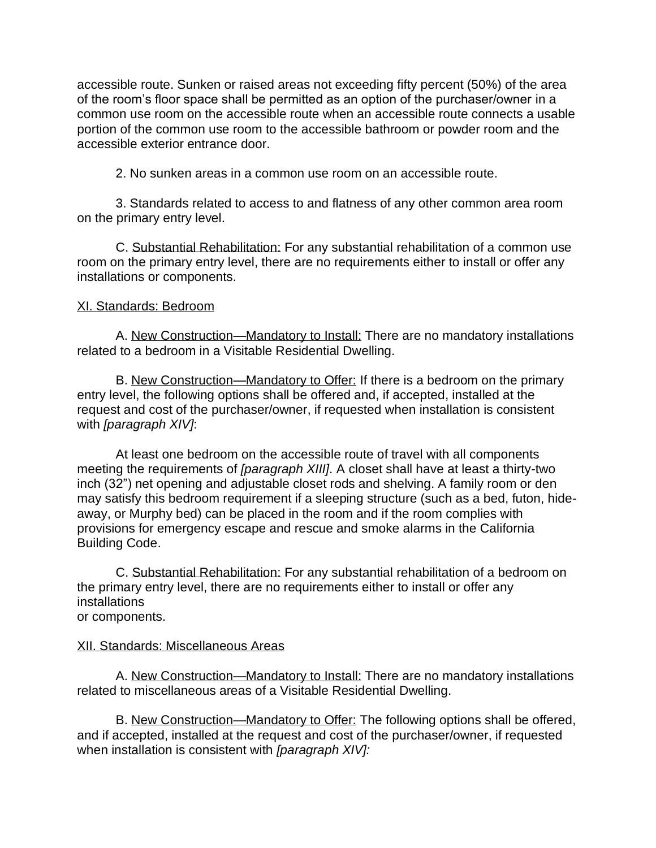accessible route. Sunken or raised areas not exceeding fifty percent (50%) of the area of the room's floor space shall be permitted as an option of the purchaser/owner in a common use room on the accessible route when an accessible route connects a usable portion of the common use room to the accessible bathroom or powder room and the accessible exterior entrance door.

2. No sunken areas in a common use room on an accessible route.

3. Standards related to access to and flatness of any other common area room on the primary entry level.

C. Substantial Rehabilitation: For any substantial rehabilitation of a common use room on the primary entry level, there are no requirements either to install or offer any installations or components.

# XI. Standards: Bedroom

A. New Construction—Mandatory to Install: There are no mandatory installations related to a bedroom in a Visitable Residential Dwelling.

B. New Construction—Mandatory to Offer: If there is a bedroom on the primary entry level, the following options shall be offered and, if accepted, installed at the request and cost of the purchaser/owner, if requested when installation is consistent with *[paragraph XIV]*:

At least one bedroom on the accessible route of travel with all components meeting the requirements of *[paragraph XIII]*. A closet shall have at least a thirty-two inch (32") net opening and adjustable closet rods and shelving. A family room or den may satisfy this bedroom requirement if a sleeping structure (such as a bed, futon, hideaway, or Murphy bed) can be placed in the room and if the room complies with provisions for emergency escape and rescue and smoke alarms in the California Building Code.

C. Substantial Rehabilitation: For any substantial rehabilitation of a bedroom on the primary entry level, there are no requirements either to install or offer any installations or components.

## XII. Standards: Miscellaneous Areas

A. New Construction—Mandatory to Install: There are no mandatory installations related to miscellaneous areas of a Visitable Residential Dwelling.

B. New Construction—Mandatory to Offer: The following options shall be offered, and if accepted, installed at the request and cost of the purchaser/owner, if requested when installation is consistent with *[paragraph XIV]:*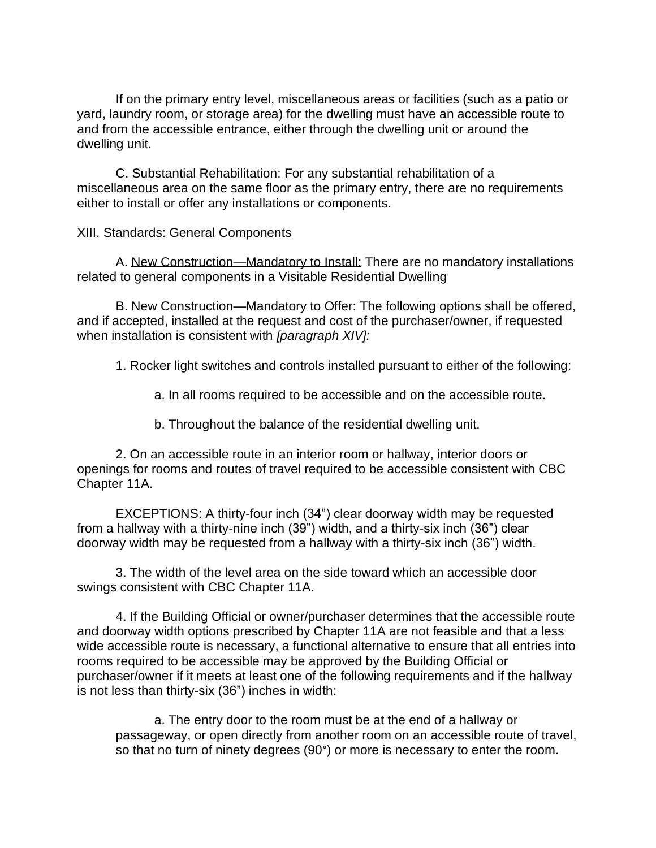If on the primary entry level, miscellaneous areas or facilities (such as a patio or yard, laundry room, or storage area) for the dwelling must have an accessible route to and from the accessible entrance, either through the dwelling unit or around the dwelling unit.

C. Substantial Rehabilitation: For any substantial rehabilitation of a miscellaneous area on the same floor as the primary entry, there are no requirements either to install or offer any installations or components.

#### XIII. Standards: General Components

A. New Construction—Mandatory to Install: There are no mandatory installations related to general components in a Visitable Residential Dwelling

B. New Construction—Mandatory to Offer: The following options shall be offered, and if accepted, installed at the request and cost of the purchaser/owner, if requested when installation is consistent with *[paragraph XIV]:* 

1. Rocker light switches and controls installed pursuant to either of the following:

a. In all rooms required to be accessible and on the accessible route.

b. Throughout the balance of the residential dwelling unit.

2. On an accessible route in an interior room or hallway, interior doors or openings for rooms and routes of travel required to be accessible consistent with CBC Chapter 11A.

EXCEPTIONS: A thirty-four inch (34") clear doorway width may be requested from a hallway with a thirty-nine inch (39") width, and a thirty-six inch (36") clear doorway width may be requested from a hallway with a thirty-six inch (36") width.

3. The width of the level area on the side toward which an accessible door swings consistent with CBC Chapter 11A.

4. If the Building Official or owner/purchaser determines that the accessible route and doorway width options prescribed by Chapter 11A are not feasible and that a less wide accessible route is necessary, a functional alternative to ensure that all entries into rooms required to be accessible may be approved by the Building Official or purchaser/owner if it meets at least one of the following requirements and if the hallway is not less than thirty-six (36") inches in width:

a. The entry door to the room must be at the end of a hallway or passageway, or open directly from another room on an accessible route of travel, so that no turn of ninety degrees (90°) or more is necessary to enter the room.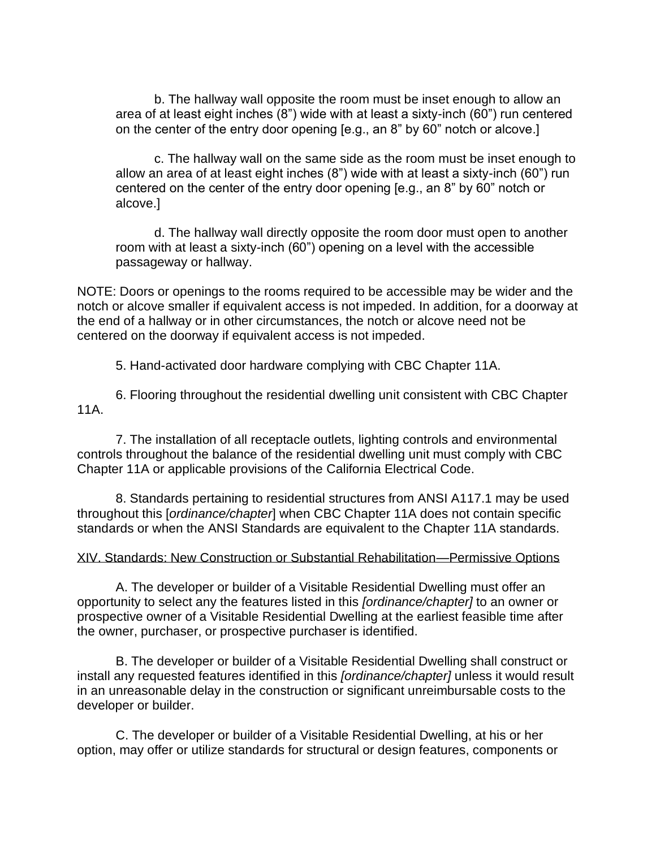b. The hallway wall opposite the room must be inset enough to allow an area of at least eight inches (8") wide with at least a sixty-inch (60") run centered on the center of the entry door opening [e.g., an 8" by 60" notch or alcove.]

c. The hallway wall on the same side as the room must be inset enough to allow an area of at least eight inches (8") wide with at least a sixty-inch (60") run centered on the center of the entry door opening [e.g., an 8" by 60" notch or alcove.]

d. The hallway wall directly opposite the room door must open to another room with at least a sixty-inch (60") opening on a level with the accessible passageway or hallway.

NOTE: Doors or openings to the rooms required to be accessible may be wider and the notch or alcove smaller if equivalent access is not impeded. In addition, for a doorway at the end of a hallway or in other circumstances, the notch or alcove need not be centered on the doorway if equivalent access is not impeded.

5. Hand-activated door hardware complying with CBC Chapter 11A.

6. Flooring throughout the residential dwelling unit consistent with CBC Chapter 11A.

7. The installation of all receptacle outlets, lighting controls and environmental controls throughout the balance of the residential dwelling unit must comply with CBC Chapter 11A or applicable provisions of the California Electrical Code.

8. Standards pertaining to residential structures from ANSI A117.1 may be used throughout this [*ordinance/chapter*] when CBC Chapter 11A does not contain specific standards or when the ANSI Standards are equivalent to the Chapter 11A standards.

## XIV. Standards: New Construction or Substantial Rehabilitation—Permissive Options

A. The developer or builder of a Visitable Residential Dwelling must offer an opportunity to select any the features listed in this *[ordinance/chapter]* to an owner or prospective owner of a Visitable Residential Dwelling at the earliest feasible time after the owner, purchaser, or prospective purchaser is identified.

B. The developer or builder of a Visitable Residential Dwelling shall construct or install any requested features identified in this *[ordinance/chapter]* unless it would result in an unreasonable delay in the construction or significant unreimbursable costs to the developer or builder.

C. The developer or builder of a Visitable Residential Dwelling, at his or her option, may offer or utilize standards for structural or design features, components or